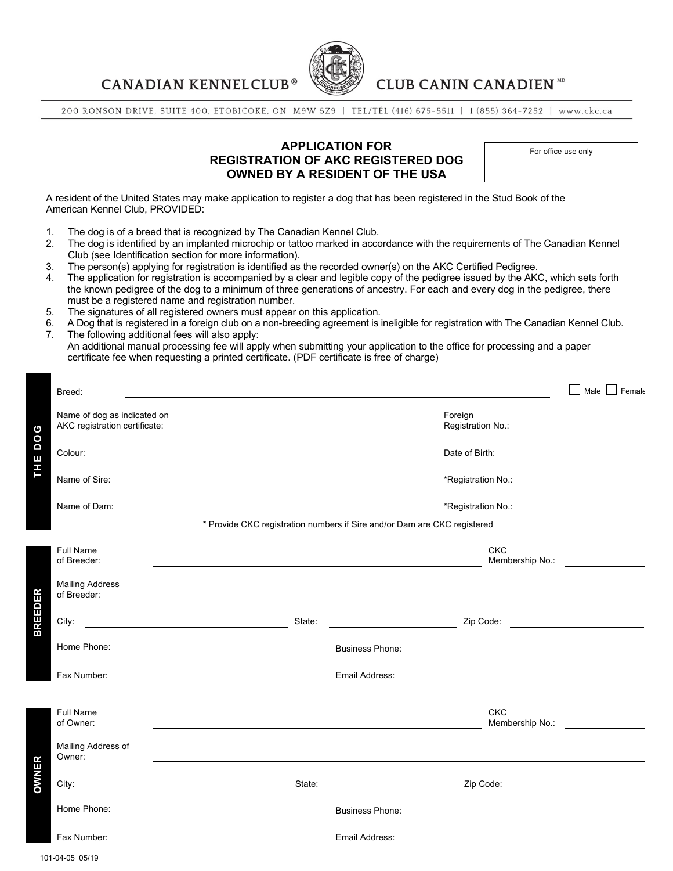**CANADIAN KENNELCLUB®** 



# **CLUB CANIN CANADIEN ND**

200 RONSON DRIVE, SUITE 400, ETOBICOKE, ON M9W 5Z9 | TEL/TÉL (416) 675-5511 | 1 (855) 364-7252 | www.ckc.ca

## **APPLICATION FOR REGISTRATION OF AKC REGISTERED DOG OWNED BY A RESIDENT OF THE USA**

For office use only

A resident of the United States may make application to register a dog that has been registered in the Stud Book of the American Kennel Club, PROVIDED:

- 1. The dog is of a breed that is recognized by The Canadian Kennel Club.
- 2. The dog is identified by an implanted microchip or tattoo marked in accordance with the requirements of The Canadian Kennel Club (see Identification section for more information).
- 
- 3. The person(s) applying for registration is identified as the recorded owner(s) on the AKC Certified Pedigree.<br>4. The application for registration is accompanied by a clear and legible copy of the pedigree issued by the The application for registration is accompanied by a clear and legible copy of the pedigree issued by the AKC, which sets forth the known pedigree of the dog to a minimum of three generations of ancestry. For each and every dog in the pedigree, there must be a registered name and registration number.
- 5. The signatures of all registered owners must appear on this application.
- 6. A Dog that is registered in a foreign club on a non-breeding agreement is ineligible for registration with The Canadian Kennel Club. 7. The following additional fees will also apply:
- An additional manual processing fee will apply when submitting your application to the office for processing and a paper certificate fee when requesting a printed certificate. (PDF certificate is free of charge)

| Breed:                                                            |                                                      |                       |                                                                          |                                                                                                                      | Female<br>Male                                 |
|-------------------------------------------------------------------|------------------------------------------------------|-----------------------|--------------------------------------------------------------------------|----------------------------------------------------------------------------------------------------------------------|------------------------------------------------|
| Name of dog as indicated on<br>AKC registration certificate:<br>ပ |                                                      |                       |                                                                          | Foreign<br>Registration No.:                                                                                         |                                                |
| 0<br>Δ<br>Colour:                                                 |                                                      |                       |                                                                          | Date of Birth:                                                                                                       |                                                |
| THE<br>Name of Sire:                                              |                                                      |                       |                                                                          | *Registration No.:                                                                                                   |                                                |
| Name of Dam:                                                      |                                                      |                       | <u> Andrew Maria (1989)</u>                                              |                                                                                                                      |                                                |
|                                                                   |                                                      |                       | * Provide CKC registration numbers if Sire and/or Dam are CKC registered |                                                                                                                      |                                                |
| <b>Full Name</b><br>of Breeder:                                   |                                                      |                       |                                                                          | <b>CKC</b>                                                                                                           | Membership No.: <u>_______________________</u> |
| <b>Mailing Address</b><br>ER<br>of Breeder:                       |                                                      |                       |                                                                          |                                                                                                                      |                                                |
| BREED<br>City:                                                    | State:                                               |                       |                                                                          |                                                                                                                      |                                                |
| Home Phone:                                                       |                                                      |                       | <b>Business Phone:</b>                                                   | <u> 1989 - Johann Barn, fransk politik amerikansk politik (</u>                                                      |                                                |
| Fax Number:                                                       |                                                      | <b>Email Address:</b> |                                                                          |                                                                                                                      |                                                |
| Full Name<br>of Owner:                                            |                                                      |                       | <u> 1989 - Johann Barn, fransk politik (d. 1989)</u>                     | <b>CKC</b>                                                                                                           | Membership No.:                                |
| Mailing Address of<br>Owner:                                      |                                                      |                       |                                                                          |                                                                                                                      |                                                |
| <b>DWNER</b><br>City:                                             | <u> 1989 - Johann Barn, fransk politik (d. 1989)</u> | State:                |                                                                          |                                                                                                                      |                                                |
| Home Phone:                                                       |                                                      |                       | <b>Business Phone:</b>                                                   | <u> 1989 - Johann Barn, mars ann an t-Amhain ann an t-Amhain an t-Amhain an t-Amhain an t-Amhain ann an t-Amhain</u> |                                                |
| Fax Number:                                                       |                                                      |                       | Email Address:                                                           |                                                                                                                      |                                                |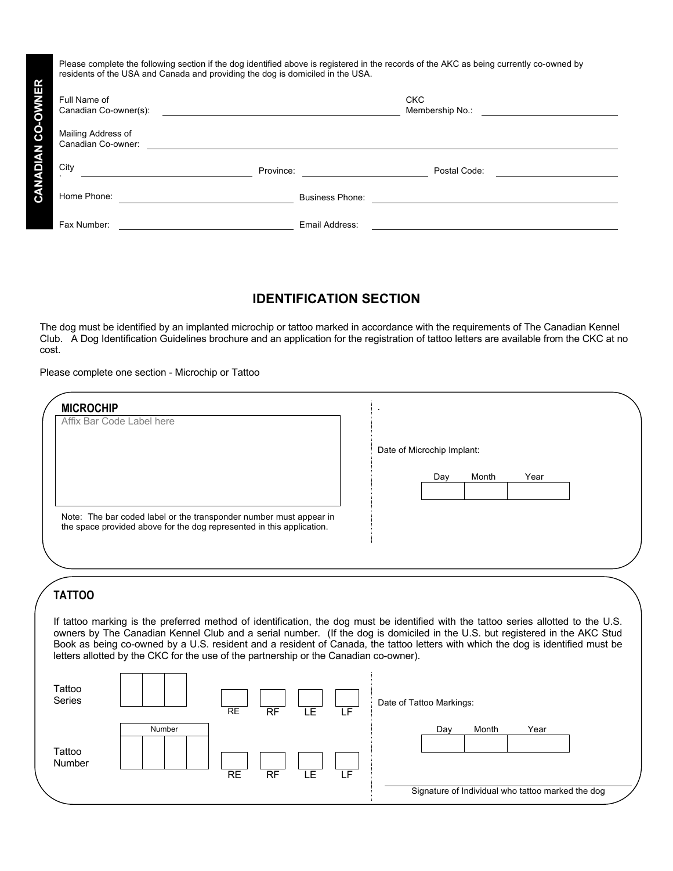| Please complete the following section if the dog identified above is registered in the records of the AKC as being currently co-owned by<br>residents of the USA and Canada and providing the dog is domiciled in the USA. |           |                               |  |  |  |  |  |
|----------------------------------------------------------------------------------------------------------------------------------------------------------------------------------------------------------------------------|-----------|-------------------------------|--|--|--|--|--|
| Full Name of<br>Canadian Co-owner(s):                                                                                                                                                                                      |           | <b>CKC</b><br>Membership No.: |  |  |  |  |  |
| Mailing Address of<br>Canadian Co-owner:                                                                                                                                                                                   |           |                               |  |  |  |  |  |
| City                                                                                                                                                                                                                       | Province: | Postal Code:                  |  |  |  |  |  |
| Home Phone:                                                                                                                                                                                                                |           | Business Phone:               |  |  |  |  |  |
| Fax Number:                                                                                                                                                                                                                |           | Email Address:                |  |  |  |  |  |

# **IDENTIFICATION SECTION**

The dog must be identified by an implanted microchip or tattoo marked in accordance with the requirements of The Canadian Kennel Club. A Dog Identification Guidelines brochure and an application for the registration of tattoo letters are available from the CKC at no cost.

#### Please complete one section - Microchip or Tattoo

| <b>MICROCHIP</b>                                                                                                                                                                                                                                               |     |                                                   |
|----------------------------------------------------------------------------------------------------------------------------------------------------------------------------------------------------------------------------------------------------------------|-----|---------------------------------------------------|
| Affix Bar Code Label here                                                                                                                                                                                                                                      |     |                                                   |
|                                                                                                                                                                                                                                                                |     | Date of Microchip Implant:                        |
|                                                                                                                                                                                                                                                                |     |                                                   |
|                                                                                                                                                                                                                                                                |     | Year<br>Month<br>Day                              |
|                                                                                                                                                                                                                                                                |     |                                                   |
| Note: The bar coded label or the transponder number must appear in<br>the space provided above for the dog represented in this application.                                                                                                                    |     |                                                   |
|                                                                                                                                                                                                                                                                |     |                                                   |
|                                                                                                                                                                                                                                                                |     |                                                   |
|                                                                                                                                                                                                                                                                |     |                                                   |
| <b>TATTOO</b>                                                                                                                                                                                                                                                  |     |                                                   |
| If tattoo marking is the preferred method of identification, the dog must be identified with the tattoo series allotted to the U.S.                                                                                                                            |     |                                                   |
| owners by The Canadian Kennel Club and a serial number. (If the dog is domiciled in the U.S. but registered in the AKC Stud<br>Book as being co-owned by a U.S. resident and a resident of Canada, the tattoo letters with which the dog is identified must be |     |                                                   |
| letters allotted by the CKC for the use of the partnership or the Canadian co-owner).                                                                                                                                                                          |     |                                                   |
| Tattoo                                                                                                                                                                                                                                                         |     |                                                   |
| Series                                                                                                                                                                                                                                                         |     | Date of Tattoo Markings:                          |
| <b>LE</b><br>RF<br>$\overline{RE}$                                                                                                                                                                                                                             | LF  |                                                   |
| Number                                                                                                                                                                                                                                                         |     | Month<br>Year<br>Day                              |
| Tattoo<br>Number                                                                                                                                                                                                                                               |     |                                                   |
| <b>LE</b><br><b>RE</b><br><b>RF</b>                                                                                                                                                                                                                            | LF. |                                                   |
|                                                                                                                                                                                                                                                                |     | Signature of Individual who tattoo marked the dog |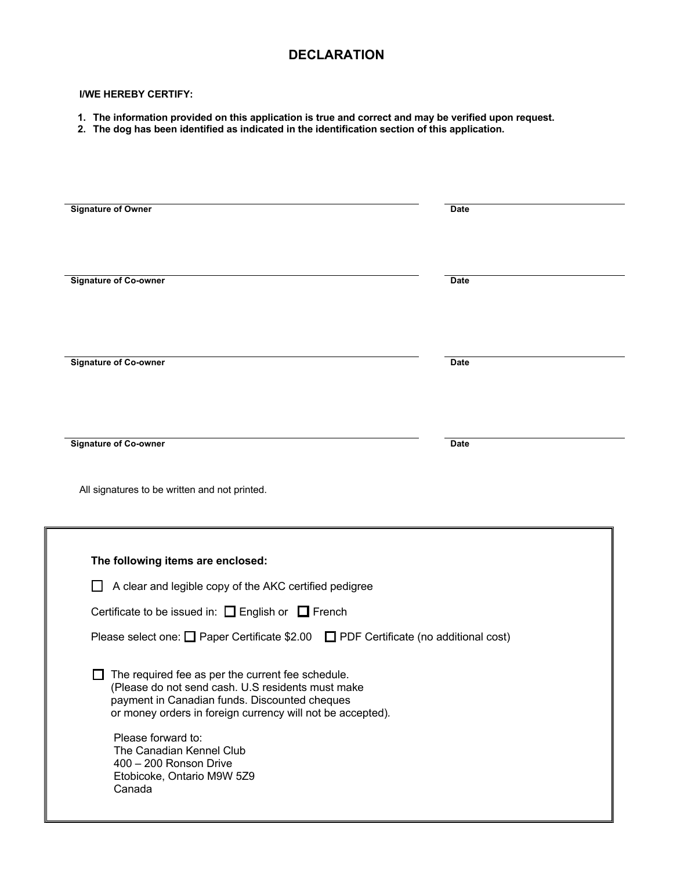# **DECLARATION**

#### **I/WE HEREBY CERTIFY:**

- **1. The information provided on this application is true and correct and may be verified upon request.**
- **2. The dog has been identified as indicated in the identification section of this application.**

| <b>Signature of Owner</b><br>Date<br><b>Signature of Co-owner</b><br><b>Date</b><br><b>Signature of Co-owner</b><br><b>Date</b><br><b>Signature of Co-owner</b><br><b>Date</b><br>All signatures to be written and not printed.<br>The following items are enclosed:<br>A clear and legible copy of the AKC certified pedigree<br>Certificate to be issued in: $\Box$ English or $\Box$ French<br>Please select one: $\Box$ Paper Certificate \$2.00 $\Box$ PDF Certificate (no additional cost)<br>The required fee as per the current fee schedule<br>(Please do not send cash. U.S residents must make<br>payment in Canadian funds. Discounted cheques<br>or money orders in foreign currency will not be accepted).<br>Please forward to:<br>The Canadian Kennel Club<br>400 - 200 Ronson Drive<br>Etobicoke, Ontario M9W 5Z9 |  |
|------------------------------------------------------------------------------------------------------------------------------------------------------------------------------------------------------------------------------------------------------------------------------------------------------------------------------------------------------------------------------------------------------------------------------------------------------------------------------------------------------------------------------------------------------------------------------------------------------------------------------------------------------------------------------------------------------------------------------------------------------------------------------------------------------------------------------------|--|
|                                                                                                                                                                                                                                                                                                                                                                                                                                                                                                                                                                                                                                                                                                                                                                                                                                    |  |
|                                                                                                                                                                                                                                                                                                                                                                                                                                                                                                                                                                                                                                                                                                                                                                                                                                    |  |
|                                                                                                                                                                                                                                                                                                                                                                                                                                                                                                                                                                                                                                                                                                                                                                                                                                    |  |
|                                                                                                                                                                                                                                                                                                                                                                                                                                                                                                                                                                                                                                                                                                                                                                                                                                    |  |
|                                                                                                                                                                                                                                                                                                                                                                                                                                                                                                                                                                                                                                                                                                                                                                                                                                    |  |
|                                                                                                                                                                                                                                                                                                                                                                                                                                                                                                                                                                                                                                                                                                                                                                                                                                    |  |
|                                                                                                                                                                                                                                                                                                                                                                                                                                                                                                                                                                                                                                                                                                                                                                                                                                    |  |
|                                                                                                                                                                                                                                                                                                                                                                                                                                                                                                                                                                                                                                                                                                                                                                                                                                    |  |
|                                                                                                                                                                                                                                                                                                                                                                                                                                                                                                                                                                                                                                                                                                                                                                                                                                    |  |
|                                                                                                                                                                                                                                                                                                                                                                                                                                                                                                                                                                                                                                                                                                                                                                                                                                    |  |
| Canada                                                                                                                                                                                                                                                                                                                                                                                                                                                                                                                                                                                                                                                                                                                                                                                                                             |  |